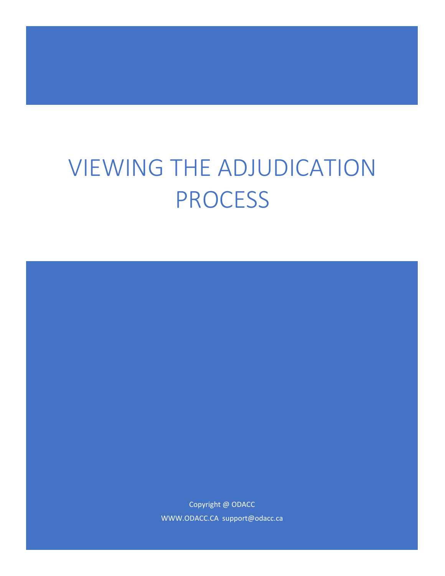# VIEWING THE ADJUDICATION PROCESS

Copyright @ ODACC WWW.ODACC.CA support@odacc.ca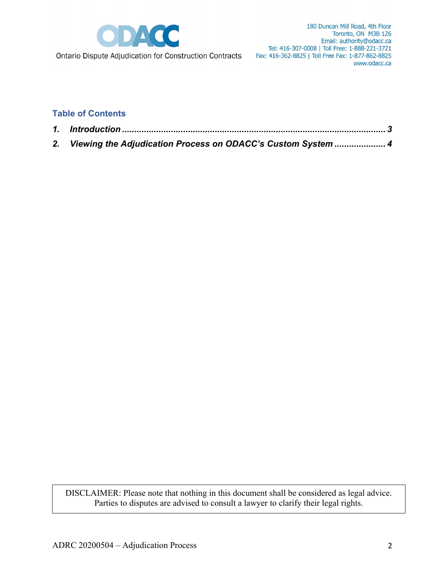

180 Duncan Mill Road, 4th Floor Toronto, ON M3B 1Z6 Email: authority@odacc.ca Tel: 416-307-0008 | Toll Free: 1-888-221-3721 Fax: 416-362-8825 | Toll Free Fax: 1-877-862-8825 www.odacc.ca

Ontario Dispute Adjudication for Construction Contracts

### **Table of Contents**

| 2. Viewing the Adjudication Process on ODACC's Custom System  4 |
|-----------------------------------------------------------------|

DISCLAIMER: Please note that nothing in this document shall be considered as legal advice. Parties to disputes are advised to consult a lawyer to clarify their legal rights.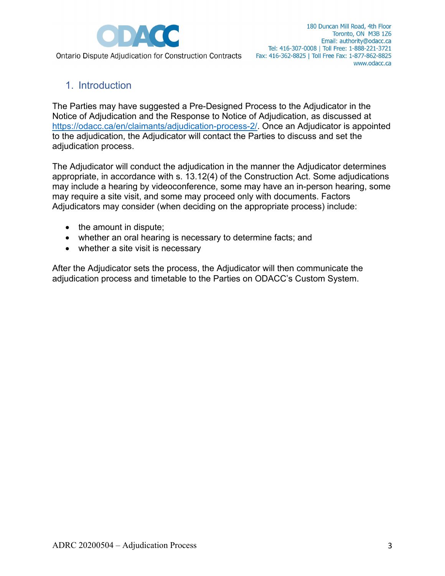

# <span id="page-2-0"></span>1. Introduction

The Parties may have suggested a Pre-Designed Process to the Adjudicator in the Notice of Adjudication and the Response to Notice of Adjudication, as discussed at [https://odacc.ca/en/claimants/adjudication-process-2/.](https://odacc.ca/en/claimants/adjudication-process-2/) Once an Adjudicator is appointed to the adjudication, the Adjudicator will contact the Parties to discuss and set the adjudication process.

The Adjudicator will conduct the adjudication in the manner the Adjudicator determines appropriate, in accordance with s. 13.12(4) of the Construction Act. Some adjudications may include a hearing by videoconference, some may have an in-person hearing, some may require a site visit, and some may proceed only with documents. Factors Adjudicators may consider (when deciding on the appropriate process) include:

- the amount in dispute;
- whether an oral hearing is necessary to determine facts; and
- whether a site visit is necessary

<span id="page-2-1"></span>After the Adjudicator sets the process, the Adjudicator will then communicate the adjudication process and timetable to the Parties on ODACC's Custom System.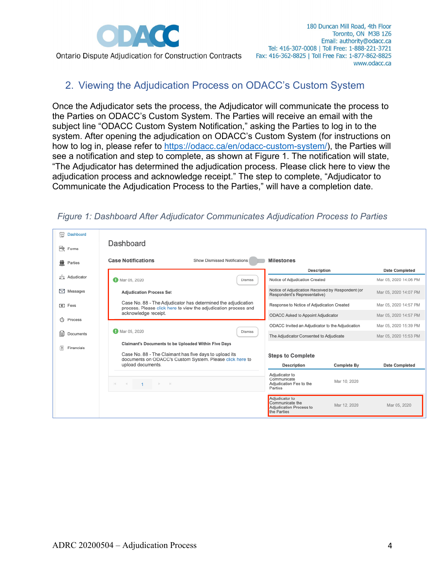

# 2. Viewing the Adjudication Process on ODACC's Custom System

Once the Adjudicator sets the process, the Adjudicator will communicate the process to the Parties on ODACC's Custom System. The Parties will receive an email with the subject line "ODACC Custom System Notification," asking the Parties to log in to the system. After opening the adjudication on ODACC's Custom System (for instructions on how to log in, please refer to [https://odacc.ca/en/odacc-custom-system/\)](https://odacc.ca/en/odacc-custom-system/), the Parties will see a notification and step to complete, as shown at Figure 1. The notification will state, "The Adjudicator has determined the adjudication process. Please click here to view the adjudication process and acknowledge receipt." The step to complete, "Adjudicator to Communicate the Adjudication Process to the Parties," will have a completion date.

#### *Figure 1: Dashboard After Adjudicator Communicates Adjudication Process to Parties*

| 崮<br>Dashboard<br><b>酸 Forms</b>            | Dashboard                                                                                                                                                                                       |                                                                                             |                                                |
|---------------------------------------------|-------------------------------------------------------------------------------------------------------------------------------------------------------------------------------------------------|---------------------------------------------------------------------------------------------|------------------------------------------------|
| 獓<br>Parties                                | <b>Case Notifications</b><br>Show Dismissed Notifications                                                                                                                                       | <b>Milestones</b>                                                                           |                                                |
| Adjudicator<br>학생                           | Mar 05, 2020<br><b>Dismiss</b>                                                                                                                                                                  | <b>Description</b><br>Notice of Adjudication Created                                        | <b>Date Completed</b><br>Mar 05, 2020 14:06 PM |
| 罓<br>Messages                               | <b>Adjudication Process Set</b><br>Case No. 88 - The Adjudicator has determined the adjudication<br>process. Please click here to view the adjudication process and<br>acknowledge receipt.     | Notice of Adjudication Received by Respondent (or<br>Respondent's Representative)           | Mar 05, 2020 14:07 PM                          |
| $\boxed{0}$ Fees                            |                                                                                                                                                                                                 | Response to Notice of Adjudication Created                                                  | Mar 05, 2020 14:57 PM                          |
| O<br>Process                                |                                                                                                                                                                                                 | ODACC Asked to Appoint Adjudicator                                                          | Mar 05, 2020 14:57 PM                          |
|                                             | <b>D</b> Mar 05, 2020<br><b>Dismiss</b>                                                                                                                                                         | ODACC Invited an Adjudicator to the Adjudication                                            | Mar 05, 2020 15:39 PM                          |
| e<br>Documents                              |                                                                                                                                                                                                 | The Adjudicator Consented to Adjudicate                                                     | Mar 05, 2020 15:53 PM                          |
| $\left  \frac{8}{10} \right $<br>Financials | Claimant's Documents to be Uploaded Within Five Days<br>Case No. 88 - The Claimant has five days to upload its<br>documents on ODACC's Custom System. Please click here to<br>upload documents. | <b>Steps to Complete</b><br><b>Description</b><br><b>Complete By</b>                        | <b>Date Completed</b>                          |
|                                             | $N = 4$ $1 \rightarrow N$                                                                                                                                                                       | Adjudicator to<br>Communicate<br>Mar 10, 2020<br>Adjudication Fee to the<br>Parties         |                                                |
|                                             |                                                                                                                                                                                                 | Adjudicator to<br>Communicate the<br>Mar 12, 2020<br>Adjudication Process to<br>the Parties | Mar 05, 2020                                   |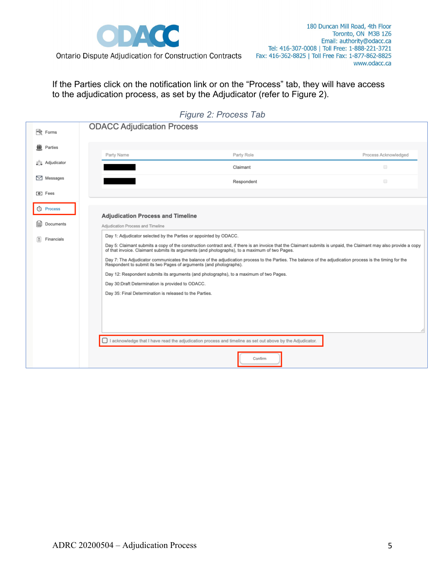

180 Duncan Mill Road, 4th Floor Toronto, ON M3B 1Z6 Email: authority@odacc.ca Tel: 416-307-0008 | Toll Free: 1-888-221-3721 Fax: 416-362-8825 | Toll Free Fax: 1-877-862-8825 www.odacc.ca

If the Parties click on the notification link or on the "Process" tab, they will have access

to the adjudication process, as set by the Adjudicator (refer to Figure 2).

| 卡<br>Forms                              | <b>ODACC Adjudication Process</b>                                                                                                                                                                                                                                                           |                                                                                                                                                                                                                                                                                                                                                                                                                                                                                                                           |                      |  |  |  |  |
|-----------------------------------------|---------------------------------------------------------------------------------------------------------------------------------------------------------------------------------------------------------------------------------------------------------------------------------------------|---------------------------------------------------------------------------------------------------------------------------------------------------------------------------------------------------------------------------------------------------------------------------------------------------------------------------------------------------------------------------------------------------------------------------------------------------------------------------------------------------------------------------|----------------------|--|--|--|--|
| Parties<br>W                            | Party Name                                                                                                                                                                                                                                                                                  | Party Role                                                                                                                                                                                                                                                                                                                                                                                                                                                                                                                | Process Acknowledged |  |  |  |  |
| a <sup>1</sup> <sub>a</sub> Adjudicator |                                                                                                                                                                                                                                                                                             | Claimant                                                                                                                                                                                                                                                                                                                                                                                                                                                                                                                  | $\Box$               |  |  |  |  |
| $\sim$<br>Messages                      |                                                                                                                                                                                                                                                                                             | Respondent                                                                                                                                                                                                                                                                                                                                                                                                                                                                                                                | $\Box$               |  |  |  |  |
| <b>[0]</b> Fees                         |                                                                                                                                                                                                                                                                                             |                                                                                                                                                                                                                                                                                                                                                                                                                                                                                                                           |                      |  |  |  |  |
| Process<br>☺<br>Documents               | <b>Adjudication Process and Timeline</b>                                                                                                                                                                                                                                                    |                                                                                                                                                                                                                                                                                                                                                                                                                                                                                                                           |                      |  |  |  |  |
| Financials                              | Adjudication Process and Timeline<br>Day 1: Adjudicator selected by the Parties or appointed by ODACC.<br>Respondent to submit its two Pages of arguments (and photographs).<br>Day 30:Draft Determination is provided to ODACC.<br>Day 35: Final Determination is released to the Parties. | Day 5: Claimant submits a copy of the construction contract and, if there is an invoice that the Claimant submits is unpaid, the Claimant may also provide a copy<br>of that invoice. Claimant submits its arguments (and photographs), to a maximum of two Pages.<br>Day 7: The Adjudicator communicates the balance of the adjudication process to the Parties. The balance of the adjudication process is the timing for the<br>Day 12: Respondent submits its arguments (and photographs), to a maximum of two Pages. |                      |  |  |  |  |
|                                         |                                                                                                                                                                                                                                                                                             | □ I acknowledge that I have read the adjudication process and timeline as set out above by the Adjudicator.<br>Confirm                                                                                                                                                                                                                                                                                                                                                                                                    |                      |  |  |  |  |

#### *Figure 2: Process Tab*